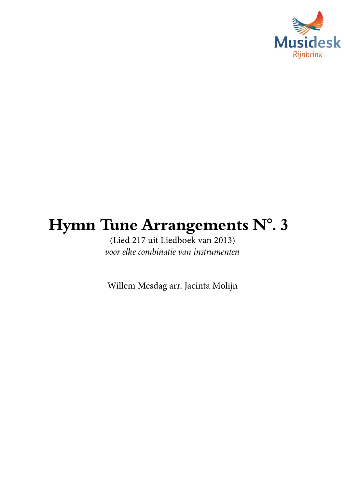

## Hymn Tune Arrangements N°. 3

(Lied 217 uit Liedboek van 2013) *voor elke combinatie van instrumenten*

Willem Mesdag arr. Jacinta Molijn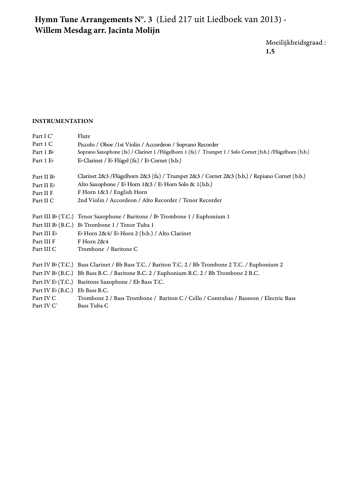## Hymn Tune Arrangements N°. 3 (Lied 217 uit Liedboek van 2013) -**Willem Mesdag arr. Jacinta Molijn**

 $\label{thm:1} \text{Moeilijkheids} \text{grad}:$ 1,5

## INSTRUMENTATION

| <b>INSTRUMENTATION</b>        |                                                                                                                |
|-------------------------------|----------------------------------------------------------------------------------------------------------------|
| Part I C'                     | Flute                                                                                                          |
| Part 1 C                      | Piccolo / Oboe /1st Violin / Accordeon / Soprano Recorder                                                      |
| Part $1Bb$                    | Soprano Saxophone (fa) / Clarinet 1 / Flügelhorn 1 (fa) / Trumpet 1 / Solo Cornet (b.b.) / Flügelhorn (b.b.)   |
| Part 1 Eb                     | E <sup>b</sup> Clarinet / E <sup>b</sup> Flügel (fa) / E <sup>b</sup> Cornet (b.b.)                            |
| Part II $Bb$                  | Clarinet 2&3 /Flügelhorn 2&3 (fa) / Trumpet 2&3 / Cornet 2&3 (b.b.) / Repiano Cornet (b.b.)                    |
| Part II Eb                    | Alto Saxophone / E <sup>b</sup> Horn 1&3 / E <sup>b</sup> Horn Solo & 1(b.b.)                                  |
| Part II F                     | F Horn 1&3 / English Horn                                                                                      |
| Part II C                     | 2nd Violin / Accordeon / Alto Recorder / Tenor Recorder                                                        |
|                               | Part III B <sup>b</sup> (T.C.) Tenor Saxophone / Baritone / B <sup>b</sup> Trombone 1 / Euphonium 1            |
|                               | Part III B <sub>b</sub> (B.C.) B <sub>b</sub> Trombone 1 / Tenor Tuba 1                                        |
| Part III Eb                   | $E\flat$ Horn 2&4/ $E\flat$ Horn 2 (b.b.) / Alto Clarinet                                                      |
| Part III F                    | F Horn 2&4                                                                                                     |
| Part III C                    | Trombone / Baritone C                                                                                          |
|                               | Part IV B <sub>b</sub> (T.C.) Bass Clarinet / Bb Bass T.C. / Bariton T.C. 2 / Bb Trombone 2 T.C. / Euphonium 2 |
|                               | Part IV B <sub>b</sub> (B.C.) Bb Bass B.C. / Baritone B.C. 2 / Euphonium B.C. 2 / Bb Trombone 2 B.C.           |
|                               | Part IV E <sub>b</sub> (T.C.) Baritone Saxophone / Eb Bass T.C.                                                |
| Part IV E (B.C.) Eb Bass B.C. |                                                                                                                |
| Part IV C                     | Trombone 2 / Bass Trombone / Bariton C / Cello / Contrabas / Bassoon / Electric Bass                           |
| Part IV C'                    | Bass Tuba C                                                                                                    |
|                               |                                                                                                                |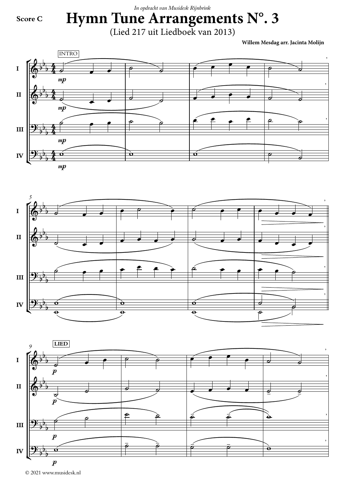*In opdracht van Musidesk Rijnbrink*

## **Score C**

**Hymn Tune Arrangements N°. 3** (Lied 217 uit Liedboek van 2013)

**Willem Mesdag arr.Jacinta Molijn**







© 2021 www.musidesk.nl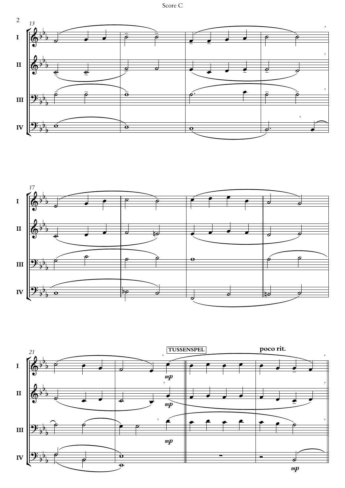



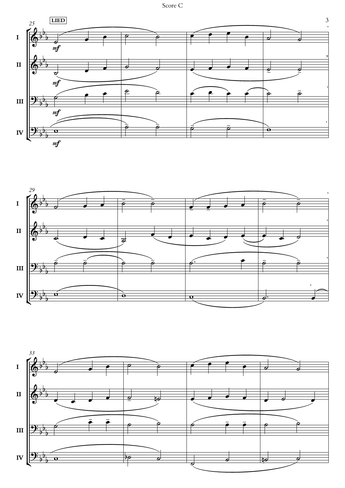Score C